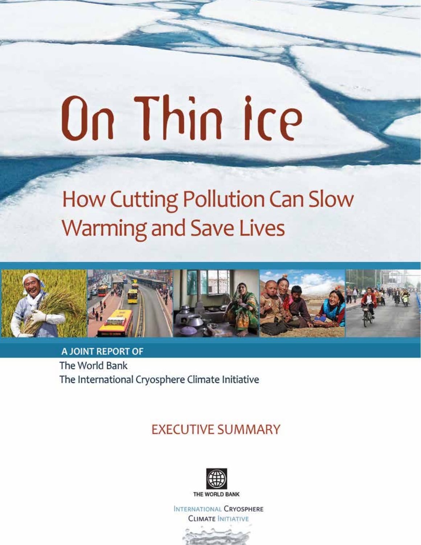# On Thin Ice

# **How Cutting Pollution Can Slow Warming and Save Lives**



A JOINT REPORT OF The World Bank The International Cryosphere Climate Initiative

# **EXECUTIVE SUMMARY**



INTERNATIONAL CRYOSPHERE **CLIMATE INITIATIVE** 

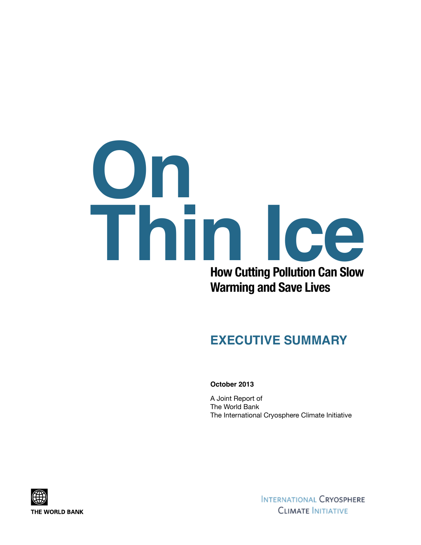# **How Cutting Pollution Can Slow Warming and Save Lives On Thin Ice**

# **EXECUTIVE SUMMARY**

#### **October 2013**

A Joint Report of The World Bank The International Cryosphere Climate Initiative



**INTERNATIONAL CRYOSPHERE CLIMATE INITIATIVE**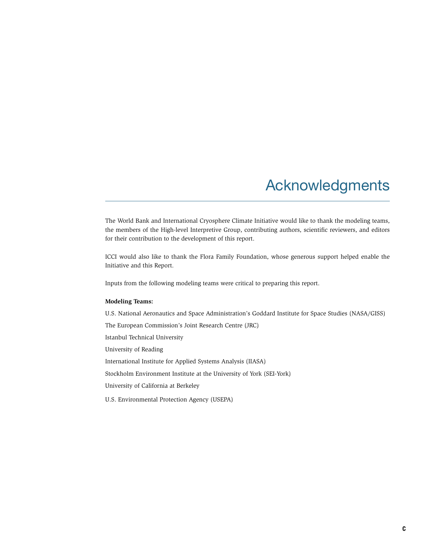# Acknowledgments

The World Bank and International Cryosphere Climate Initiative would like to thank the modeling teams, the members of the High-level Interpretive Group, contributing authors, scientific reviewers, and editors for their contribution to the development of this report.

ICCI would also like to thank the Flora Family Foundation, whose generous support helped enable the Initiative and this Report.

Inputs from the following modeling teams were critical to preparing this report.

#### **Modeling Teams:**

U.S. National Aeronautics and Space Administration's Goddard Institute for Space Studies (NASA/GISS) The European Commission's Joint Research Centre (JRC) Istanbul Technical University University of Reading International Institute for Applied Systems Analysis (IIASA) Stockholm Environment Institute at the University of York (SEI-York) University of California at Berkeley U.S. Environmental Protection Agency (USEPA)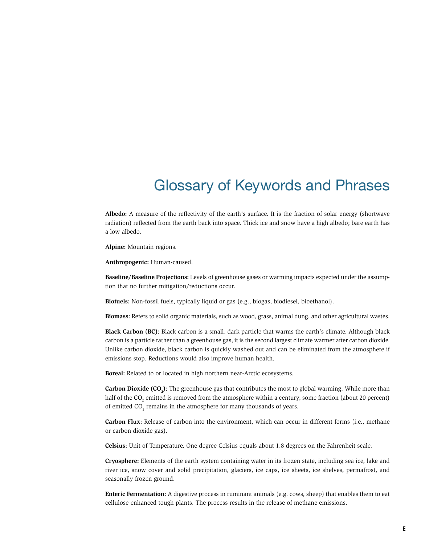# Glossary of Keywords and Phrases

**Albedo:** A measure of the reflectivity of the earth's surface. It is the fraction of solar energy (shortwave radiation) reflected from the earth back into space. Thick ice and snow have a high albedo; bare earth has a low albedo.

**Alpine:** Mountain regions.

**Anthropogenic:** Human-caused.

**Baseline/Baseline Projections:** Levels of greenhouse gases or warming impacts expected under the assumption that no further mitigation/reductions occur.

**Biofuels:** Non-fossil fuels, typically liquid or gas (e.g., biogas, biodiesel, bioethanol).

**Biomass:** Refers to solid organic materials, such as wood, grass, animal dung, and other agricultural wastes.

**Black Carbon (BC):** Black carbon is a small, dark particle that warms the earth's climate. Although black carbon is a particle rather than a greenhouse gas, it is the second largest climate warmer after carbon dioxide. Unlike carbon dioxide, black carbon is quickly washed out and can be eliminated from the atmosphere if emissions stop. Reductions would also improve human health.

**Boreal:** Related to or located in high northern near-Arctic ecosystems.

**Carbon Dioxide (CO<sub>2</sub>):** The greenhouse gas that contributes the most to global warming. While more than half of the  $CO_2$  emitted is removed from the atmosphere within a century, some fraction (about 20 percent) of emitted  $CO_2$  remains in the atmosphere for many thousands of years.

**Carbon Flux:** Release of carbon into the environment, which can occur in different forms (i.e., methane or carbon dioxide gas).

**Celsius:** Unit of Temperature. One degree Celsius equals about 1.8 degrees on the Fahrenheit scale.

**Cryosphere:** Elements of the earth system containing water in its frozen state, including sea ice, lake and river ice, snow cover and solid precipitation, glaciers, ice caps, ice sheets, ice shelves, permafrost, and seasonally frozen ground.

**Enteric Fermentation:** A digestive process in ruminant animals (e.g. cows, sheep) that enables them to eat cellulose-enhanced tough plants. The process results in the release of methane emissions.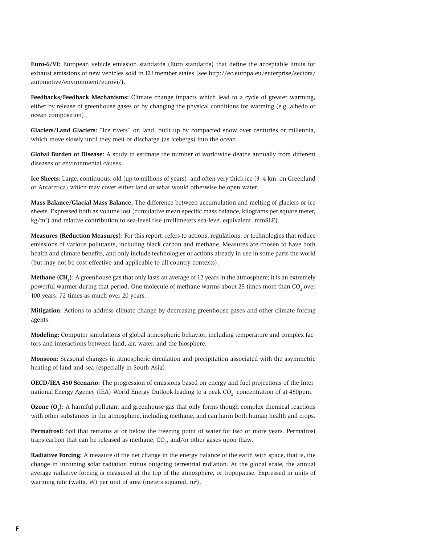**Euro-6/VI:** European vehicle emission standards (Euro standards) that define the acceptable limits for exhaust emissions of new vehicles sold in EU member states (see http://ec.europa.eu/enterprise/sectors/ automotive/environment/eurovi/).

**Feedbacks/Feedback Mechanisms:** Climate change impacts which lead to a cycle of greater warming, either by release of greenhouse gases or by changing the physical conditions for warming (e.g. albedo or ocean composition).

**Glaciers/Land Glaciers:** "Ice rivers" on land, built up by compacted snow over centuries or millennia, which move slowly until they melt or discharge (as icebergs) into the ocean.

**Global Burden of Disease:** A study to estimate the number of worldwide deaths annually from different diseases or environmental causes.

**Ice Sheets:** Large, continuous, old (up to millions of years), and often very thick ice (3–4 km. on Greenland or Antarctica) which may cover either land or what would otherwise be open water.

**Mass Balance/Glacial Mass Balance:** The difference between accumulation and melting of glaciers or ice sheets. Expressed both as volume lost (cumulative mean specific mass balance, kilograms per square meter, kg/m2 ) and relative contribution to sea-level rise (millimeters sea-level equivalent, mmSLE).

**Measures (Reduction Measures):** For this report, refers to actions, regulations, or technologies that reduce emissions of various pollutants, including black carbon and methane. Measures are chosen to have both health and climate benefits, and only include technologies or actions already in use in some parts the world (but may not be cost-effective and applicable to all country contexts).

**Methane (CH<sub>4</sub>):** A greenhouse gas that only lasts an average of 12 years in the atmosphere; it is an extremely powerful warmer during that period. One molecule of methane warms about 25 times more than  $\mathrm{CO}_2^{\phantom{\dag}}$  over 100 years; 72 times as much over 20 years.

**Mitigation:** Actions to address climate change by decreasing greenhouse gases and other climate forcing agents.

**Modeling:** Computer simulations of global atmospheric behavior, including temperature and complex factors and interactions between land, air, water, and the biosphere.

**Monsoon:** Seasonal changes in atmospheric circulation and precipitation associated with the asymmetric heating of land and sea (especially in South Asia).

**OECD/IEA 450 Scenario:** The progression of emissions based on energy and fuel projections of the International Energy Agency (IEA) World Energy Outlook leading to a peak  $CO_2$  concentration of at 450ppm.

**Ozone (O<sub>3</sub>):** A harmful pollutant and greenhouse gas that only forms though complex chemical reactions with other substances in the atmosphere, including methane, and can harm both human health and crops.

Permafrost: Soil that remains at or below the freezing point of water for two or more years. Permafrost traps carbon that can be released as methane,  $CO_2$ , and/or other gases upon thaw.

**Radiative Forcing:** A measure of the net change in the energy balance of the earth with space, that is, the change in incoming solar radiation minus outgoing terrestrial radiation. At the global scale, the annual average radiative forcing is measured at the top of the atmosphere, or tropopause. Expressed in units of warming rate (watts, W) per unit of area (meters squared,  $m<sup>2</sup>$ ).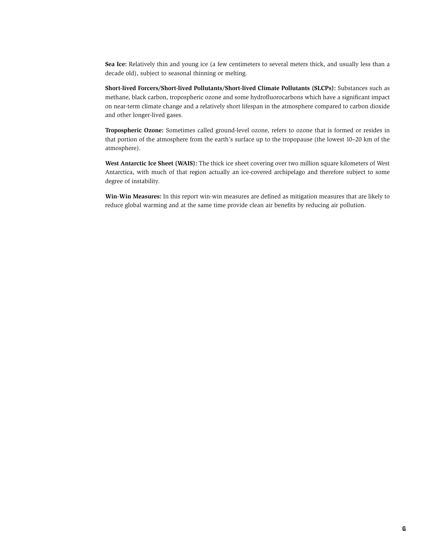**Sea Ice:** Relatively thin and young ice (a few centimeters to several meters thick, and usually less than a decade old), subject to seasonal thinning or melting.

**Short-lived Forcers/Short-lived Pollutants/Short-lived Climate Pollutants (SLCPs):** Substances such as methane, black carbon, tropospheric ozone and some hydrofluorocarbons which have a significant impact on near-term climate change and a relatively short lifespan in the atmosphere compared to carbon dioxide and other longer-lived gases.

**Tropospheric Ozone:** Sometimes called ground-level ozone, refers to ozone that is formed or resides in that portion of the atmosphere from the earth's surface up to the tropopause (the lowest 10–20 km of the atmosphere).

**West Antarctic Ice Sheet (WAIS):** The thick ice sheet covering over two million square kilometers of West Antarctica, with much of that region actually an ice-covered archipelago and therefore subject to some degree of instability.

**Win-Win Measures:** In this report win-win measures are defined as mitigation measures that are likely to reduce global warming and at the same time provide clean air benefits by reducing air pollution.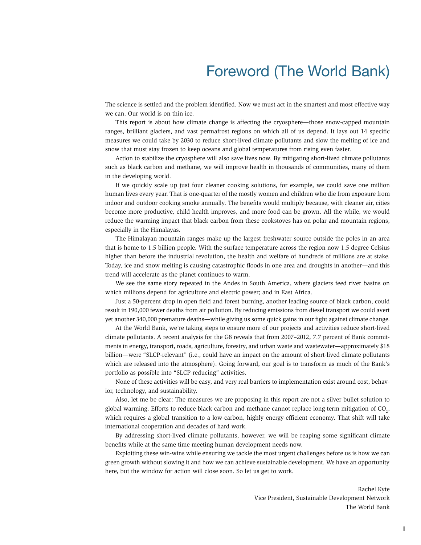The science is settled and the problem identified. Now we must act in the smartest and most effective way we can. Our world is on thin ice.

This report is about how climate change is affecting the cryosphere—those snow-capped mountain ranges, brilliant glaciers, and vast permafrost regions on which all of us depend. It lays out 14 specific measures we could take by 2030 to reduce short-lived climate pollutants and slow the melting of ice and snow that must stay frozen to keep oceans and global temperatures from rising even faster.

Action to stabilize the cryosphere will also save lives now. By mitigating short-lived climate pollutants such as black carbon and methane, we will improve health in thousands of communities, many of them in the developing world.

If we quickly scale up just four cleaner cooking solutions, for example, we could save one million human lives every year. That is one-quarter of the mostly women and children who die from exposure from indoor and outdoor cooking smoke annually. The benefits would multiply because, with cleaner air, cities become more productive, child health improves, and more food can be grown. All the while, we would reduce the warming impact that black carbon from these cookstoves has on polar and mountain regions, especially in the Himalayas.

The Himalayan mountain ranges make up the largest freshwater source outside the poles in an area that is home to 1.5 billion people. With the surface temperature across the region now 1.5 degree Celsius higher than before the industrial revolution, the health and welfare of hundreds of millions are at stake. Today, ice and snow melting is causing catastrophic floods in one area and droughts in another—and this trend will accelerate as the planet continues to warm.

We see the same story repeated in the Andes in South America, where glaciers feed river basins on which millions depend for agriculture and electric power; and in East Africa.

Just a 50-percent drop in open field and forest burning, another leading source of black carbon, could result in 190,000 fewer deaths from air pollution. By reducing emissions from diesel transport we could avert yet another 340,000 premature deaths—while giving us some quick gains in our fight against climate change.

At the World Bank, we're taking steps to ensure more of our projects and activities reduce short-lived climate pollutants. A recent analysis for the G8 reveals that from 2007–2012, 7.7 percent of Bank commitments in energy, transport, roads, agriculture, forestry, and urban waste and wastewater—approximately \$18 billion—were "SLCP-relevant" (i.e., could have an impact on the amount of short-lived climate pollutants which are released into the atmosphere). Going forward, our goal is to transform as much of the Bank's portfolio as possible into "SLCP-reducing" activities.

None of these activities will be easy, and very real barriers to implementation exist around cost, behavior, technology, and sustainability.

Also, let me be clear: The measures we are proposing in this report are not a silver bullet solution to global warming. Efforts to reduce black carbon and methane cannot replace long-term mitigation of  $\text{CO}_2$ , which requires a global transition to a low-carbon, highly energy-efficient economy. That shift will take international cooperation and decades of hard work.

By addressing short-lived climate pollutants, however, we will be reaping some significant climate benefits while at the same time meeting human development needs now.

Exploiting these win-wins while ensuring we tackle the most urgent challenges before us is how we can green growth without slowing it and how we can achieve sustainable development. We have an opportunity here, but the window for action will close soon. So let us get to work.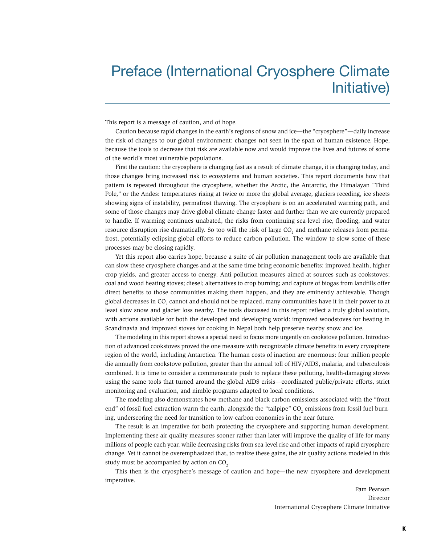# Preface (International Cryosphere Climate Initiative)

This report is a message of caution, and of hope.

Caution because rapid changes in the earth's regions of snow and ice—the "cryosphere"—daily increase the risk of changes to our global environment: changes not seen in the span of human existence. Hope, because the tools to decrease that risk are available now and would improve the lives and futures of some of the world's most vulnerable populations.

First the caution: the cryosphere is changing fast as a result of climate change, it is changing today, and those changes bring increased risk to ecosystems and human societies. This report documents how that pattern is repeated throughout the cryosphere, whether the Arctic, the Antarctic, the Himalayan "Third Pole," or the Andes: temperatures rising at twice or more the global average, glaciers receding, ice sheets showing signs of instability, permafrost thawing. The cryosphere is on an accelerated warming path, and some of those changes may drive global climate change faster and further than we are currently prepared to handle. If warming continues unabated, the risks from continuing sea-level rise, flooding, and water resource disruption rise dramatically. So too will the risk of large  $CO_2$  and methane releases from permafrost, potentially eclipsing global efforts to reduce carbon pollution. The window to slow some of these processes may be closing rapidly.

Yet this report also carries hope, because a suite of air pollution management tools are available that can slow these cryosphere changes and at the same time bring economic benefits: improved health, higher crop yields, and greater access to energy. Anti-pollution measures aimed at sources such as cookstoves; coal and wood heating stoves; diesel; alternatives to crop burning; and capture of biogas from landfills offer direct benefits to those communities making them happen, and they are eminently achievable. Though global decreases in CO<sub>2</sub> cannot and should not be replaced, many communities have it in their power to at least slow snow and glacier loss nearby. The tools discussed in this report reflect a truly global solution, with actions available for both the developed and developing world: improved woodstoves for heating in Scandinavia and improved stoves for cooking in Nepal both help preserve nearby snow and ice.

The modeling in this report shows a special need to focus more urgently on cookstove pollution. Introduction of advanced cookstoves proved the one measure with recognizable climate benefits in every cryosphere region of the world, including Antarctica. The human costs of inaction are enormous: four million people die annually from cookstove pollution, greater than the annual toll of HIV/AIDS, malaria, and tuberculosis combined. It is time to consider a commensurate push to replace these polluting, health-damaging stoves using the same tools that turned around the global AIDS crisis—coordinated public/private efforts, strict monitoring and evaluation, and nimble programs adapted to local conditions.

The modeling also demonstrates how methane and black carbon emissions associated with the "front end" of fossil fuel extraction warm the earth, alongside the "tailpipe"  $\mathrm{CO}_2$  emissions from fossil fuel burning, underscoring the need for transition to low-carbon economies in the near future.

The result is an imperative for both protecting the cryosphere and supporting human development. Implementing these air quality measures sooner rather than later will improve the quality of life for many millions of people each year, while decreasing risks from sea-level rise and other impacts of rapid cryosphere change. Yet it cannot be overemphasized that, to realize these gains, the air quality actions modeled in this study must be accompanied by action on  $CO<sub>2</sub>$ .

This then is the cryosphere's message of caution and hope—the new cryosphere and development imperative.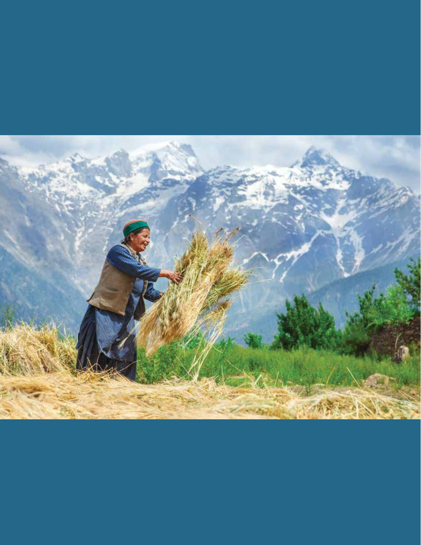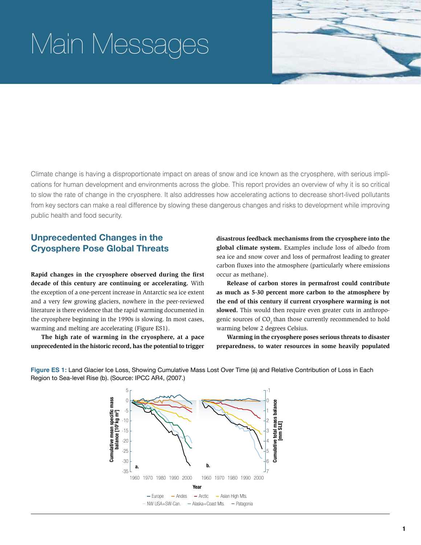# Main Messages



Climate change is having a disproportionate impact on areas of snow and ice known as the cryosphere, with serious implications for human development and environments across the globe. This report provides an overview of why it is so critical to slow the rate of change in the cryosphere. It also addresses how accelerating actions to decrease short-lived pollutants from key sectors can make a real difference by slowing these dangerous changes and risks to development while improving public health and food security.

## **Unprecedented Changes in the Cryosphere Pose Global Threats**

**Rapid changes in the cryosphere observed during the first decade of this century are continuing or accelerating.** With the exception of a one-percent increase in Antarctic sea ice extent and a very few growing glaciers, nowhere in the peer-reviewed literature is there evidence that the rapid warming documented in the cryosphere beginning in the 1990s is slowing. In most cases, warming and melting are accelerating (Figure ES1).

**The high rate of warming in the cryosphere, at a pace unprecedented in the historic record, has the potential to trigger** 

**disastrous feedback mechanisms from the cryosphere into the global climate system.** Examples include loss of albedo from sea ice and snow cover and loss of permafrost leading to greater carbon fluxes into the atmosphere (particularly where emissions occur as methane).

**Release of carbon stores in permafrost could contribute as much as 5-30 percent more carbon to the atmosphere by the end of this century if current cryosphere warming is not slowed.** This would then require even greater cuts in anthropogenic sources of CO<sub>2</sub> than those currently recommended to hold warming below 2 degrees Celsius.

**Warming in the cryosphere poses serious threats to disaster preparedness, to water resources in some heavily populated** 



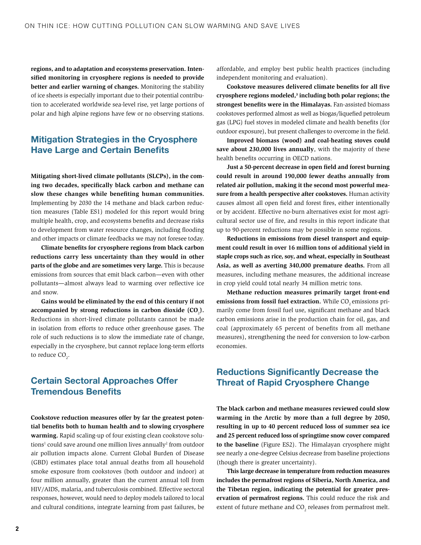**regions, and to adaptation and ecosystems preservation. Intensified monitoring in cryosphere regions is needed to provide better and earlier warning of changes.** Monitoring the stability of ice sheets is especially important due to their potential contribution to accelerated worldwide sea-level rise, yet large portions of polar and high alpine regions have few or no observing stations.

### **Mitigation Strategies in the Cryosphere Have Large and Certain Benefits**

**Mitigating short-lived climate pollutants (SLCPs), in the coming two decades, specifically black carbon and methane can slow these changes while benefiting human communities.** Implementing by 2030 the 14 methane and black carbon reduction measures (Table ES1) modeled for this report would bring multiple health, crop, and ecosystems benefits and decrease risks to development from water resource changes, including flooding and other impacts or climate feedbacks we may not foresee today.

**Climate benefits for cryosphere regions from black carbon reductions carry less uncertainty than they would in other parts of the globe and are sometimes very large.** This is because emissions from sources that emit black carbon—even with other pollutants—almost always lead to warming over reflective ice and snow.

**Gains would be eliminated by the end of this century if not**  accompanied by strong reductions in carbon dioxide  $(CO_2)$ . Reductions in short-lived climate pollutants cannot be made in isolation from efforts to reduce other greenhouse gases. The role of such reductions is to slow the immediate rate of change, especially in the cryosphere, but cannot replace long-term efforts to reduce  $CO<sub>2</sub>$ .

### **Certain Sectoral Approaches Offer Tremendous Benefits**

**Cookstove reduction measures offer by far the greatest potential benefits both to human health and to slowing cryosphere warming.** Rapid scaling-up of four existing clean cookstove solutions<sup>1</sup> could save around one million lives annually<sup>2</sup> from outdoor air pollution impacts alone. Current Global Burden of Disease (GBD) estimates place total annual deaths from all household smoke exposure from cookstoves (both outdoor and indoor) at four million annually, greater than the current annual toll from HIV/AIDS, malaria, and tuberculosis combined. Effective sectoral responses, however, would need to deploy models tailored to local and cultural conditions, integrate learning from past failures, be

affordable, and employ best public health practices (including independent monitoring and evaluation).

**Cookstove measures delivered climate benefits for all five cryosphere regions modeled,3 including both polar regions; the strongest benefits were in the Himalayas.** Fan-assisted biomass cookstoves performed almost as well as biogas/liquefied petroleum gas (LPG) fuel stoves in modeled climate and health benefits (for outdoor exposure), but present challenges to overcome in the field.

**Improved biomass (wood) and coal-heating stoves could save about 230,000 lives annually**, with the majority of these health benefits occurring in OECD nations.

**Just a 50-percent decrease in open field and forest burning could result in around 190,000 fewer deaths annually from related air pollution, making it the second most powerful measure from a health perspective after cookstoves.** Human activity causes almost all open field and forest fires, either intentionally or by accident. Effective no-burn alternatives exist for most agricultural sector use of fire, and results in this report indicate that up to 90-percent reductions may be possible in some regions.

**Reductions in emissions from diesel transport and equipment could result in over 16 million tons of additional yield in staple crops such as rice, soy, and wheat, especially in Southeast Asia, as well as averting 340,000 premature deaths.** From all measures, including methane measures, the additional increase in crop yield could total nearly 34 million metric tons.

**Methane reduction measures primarily target front-end emissions from fossil fuel extraction.** While CO<sub>2</sub> emissions primarily come from fossil fuel use, significant methane and black carbon emissions arise in the production chain for oil, gas, and coal (approximately 65 percent of benefits from all methane measures), strengthening the need for conversion to low-carbon economies.

#### **Reductions Significantly Decrease the Threat of Rapid Cryosphere Change**

**The black carbon and methane measures reviewed could slow warming in the Arctic by more than a full degree by 2050, resulting in up to 40 percent reduced loss of summer sea ice and 25 percent reduced loss of springtime snow cover compared to the baseline** (Figure ES2). The Himalayan cryosphere might see nearly a one-degree Celsius decrease from baseline projections (though there is greater uncertainty).

**This large decrease in temperature from reduction measures includes the permafrost regions of Siberia, North America, and the Tibetan region, indicating the potential for greater preservation of permafrost regions.** This could reduce the risk and extent of future methane and  $CO_2$  releases from permafrost melt.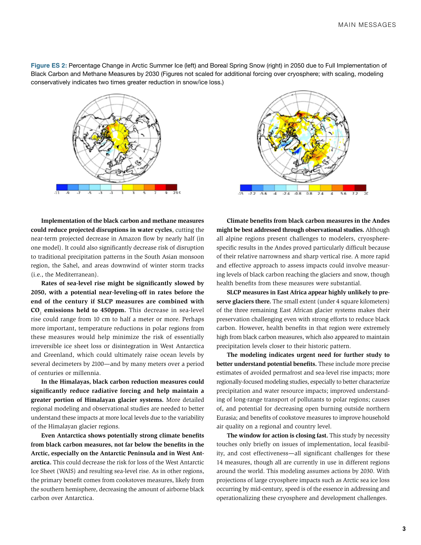**Figure ES 2:** Percentage Change in Arctic Summer Ice (left) and Boreal Spring Snow (right) in 2050 due to Full Implementation of Black Carbon and Methane Measures by 2030 (Figures not scaled for additional forcing over cryosphere; with scaling, modeling conservatively indicates two times greater reduction in snow/ice loss.)



**Implementation of the black carbon and methane measures could reduce projected disruptions in water cycles**, cutting the near-term projected decrease in Amazon flow by nearly half (in one model). It could also significantly decrease risk of disruption to traditional precipitation patterns in the South Asian monsoon region, the Sahel, and areas downwind of winter storm tracks (i.e., the Mediterranean).

**Rates of sea-level rise might be significantly slowed by 2050, with a potential near-leveling-off in rates before the end of the century if SLCP measures are combined with CO**<sup>2</sup>  **emissions held to 450ppm.** This decrease in sea-level rise could range from 10 cm to half a meter or more. Perhaps more important, temperature reductions in polar regions from these measures would help minimize the risk of essentially irreversible ice sheet loss or disintegration in West Antarctica and Greenland, which could ultimately raise ocean levels by several decimeters by 2100—and by many meters over a period of centuries or millennia.

**In the Himalayas, black carbon reduction measures could significantly reduce radiative forcing and help maintain a greater portion of Himalayan glacier systems.** More detailed regional modeling and observational studies are needed to better understand these impacts at more local levels due to the variability of the Himalayan glacier regions.

**Even Antarctica shows potentially strong climate benefits from black carbon measures, not far below the benefits in the Arctic, especially on the Antarctic Peninsula and in West Antarctica.** This could decrease the risk for loss of the West Antarctic Ice Sheet (WAIS) and resulting sea-level rise. As in other regions, the primary benefit comes from cookstoves measures, likely from the southern hemisphere, decreasing the amount of airborne black carbon over Antarctica.



**Climate benefits from black carbon measures in the Andes might be best addressed through observational studies.** Although all alpine regions present challenges to modelers, cryospherespecific results in the Andes proved particularly difficult because of their relative narrowness and sharp vertical rise. A more rapid and effective approach to assess impacts could involve measuring levels of black carbon reaching the glaciers and snow, though health benefits from these measures were substantial.

**SLCP measures in East Africa appear highly unlikely to preserve glaciers there.** The small extent (under 4 square kilometers) of the three remaining East African glacier systems makes their preservation challenging even with strong efforts to reduce black carbon. However, health benefits in that region were extremely high from black carbon measures, which also appeared to maintain precipitation levels closer to their historic pattern.

**The modeling indicates urgent need for further study to better understand potential benefits.** These include more precise estimates of avoided permafrost and sea-level rise impacts; more regionally-focused modeling studies, especially to better characterize precipitation and water resource impacts; improved understanding of long-range transport of pollutants to polar regions; causes of, and potential for decreasing open burning outside northern Eurasia; and benefits of cookstove measures to improve household air quality on a regional and country level.

**The window for action is closing fast.** This study by necessity touches only briefly on issues of implementation, local feasibility, and cost effectiveness—all significant challenges for these 14 measures, though all are currently in use in different regions around the world. This modeling assumes actions by 2030. With projections of large cryosphere impacts such as Arctic sea ice loss occurring by mid-century, speed is of the essence in addressing and operationalizing these cryosphere and development challenges.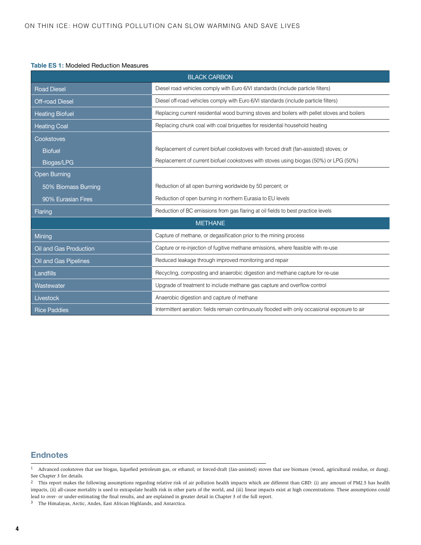#### **Table ES 1:** Modeled Reduction Measures

| <b>BLACK CARBON</b>    |                                                                                                |
|------------------------|------------------------------------------------------------------------------------------------|
| <b>Road Diesel</b>     | Diesel road vehicles comply with Euro 6/VI standards (include particle filters)                |
| <b>Off-road Diesel</b> | Diesel off-road vehicles comply with Euro 6/VI standards (include particle filters)            |
| <b>Heating Biofuel</b> | Replacing current residential wood burning stoves and boilers with pellet stoves and boilers   |
| <b>Heating Coal</b>    | Replacing chunk coal with coal briquettes for residential household heating                    |
| Cookstoves             |                                                                                                |
| <b>Biofuel</b>         | Replacement of current biofuel cookstoves with forced draft (fan-assisted) stoves; or          |
| Biogas/LPG             | Replacement of current biofuel cookstoves with stoves using biogas (50%) or LPG (50%)          |
| <b>Open Burning</b>    |                                                                                                |
| 50% Biomass Burning    | Reduction of all open burning worldwide by 50 percent; or                                      |
| 90% Eurasian Fires     | Reduction of open burning in northern Eurasia to EU levels                                     |
| Flaring                | Reduction of BC emissions from gas flaring at oil fields to best practice levels               |
| <b>METHANE</b>         |                                                                                                |
| Mining                 | Capture of methane, or degasification prior to the mining process                              |
| Oil and Gas Production | Capture or re-injection of fugitive methane emissions, where feasible with re-use              |
| Oil and Gas Pipelines  | Reduced leakage through improved monitoring and repair                                         |
| Landfills              | Recycling, composting and anaerobic digestion and methane capture for re-use                   |
| Wastewater             | Upgrade of treatment to include methane gas capture and overflow control                       |
| Livestock              | Anaerobic digestion and capture of methane                                                     |
| <b>Rice Paddies</b>    | Intermittent aeration: fields remain continuously flooded with only occasional exposure to air |

## **Endnotes**

<sup>&</sup>lt;sup>1</sup> Advanced cookstoves that use biogas, liquefied petroleum gas, or ethanol; or forced-draft (fan-assisted) stoves that use biomass (wood, agricultural residue, or dung). See Chapter 3 for details.

<sup>&</sup>lt;sup>2</sup> This report makes the following assumptions regarding relative risk of air pollution health impacts which are different than GBD: (i) any amount of PM2.5 has health impacts, (ii) all-cause mortality is used to extrapolate health risk in other parts of the world, and (iii) linear impacts exist at high concentrations. These assumptions could lead to over- or under-estimating the final results, and are explained in greater detail in Chapter 3 of the full report.

<sup>3</sup> The Himalayas, Arctic, Andes, East African Highlands, and Antarctica.